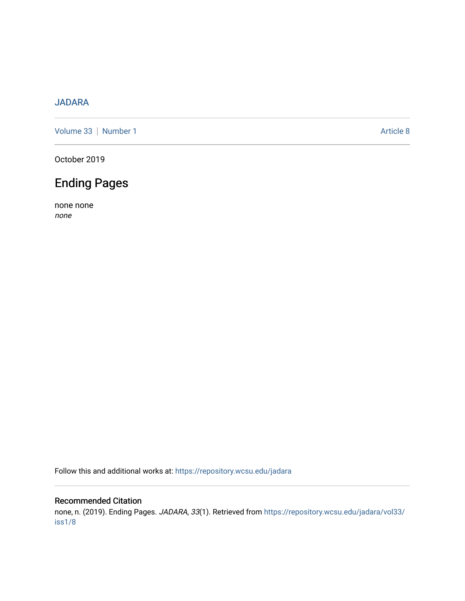## [JADARA](https://repository.wcsu.edu/jadara)

[Volume 33](https://repository.wcsu.edu/jadara/vol33) | [Number 1](https://repository.wcsu.edu/jadara/vol33/iss1) Article 8

October 2019

## Ending Pages

none none none

Follow this and additional works at: [https://repository.wcsu.edu/jadara](https://repository.wcsu.edu/jadara?utm_source=repository.wcsu.edu%2Fjadara%2Fvol33%2Fiss1%2F8&utm_medium=PDF&utm_campaign=PDFCoverPages)

## Recommended Citation

none, n. (2019). Ending Pages. JADARA, 33(1). Retrieved from [https://repository.wcsu.edu/jadara/vol33/](https://repository.wcsu.edu/jadara/vol33/iss1/8?utm_source=repository.wcsu.edu%2Fjadara%2Fvol33%2Fiss1%2F8&utm_medium=PDF&utm_campaign=PDFCoverPages) [iss1/8](https://repository.wcsu.edu/jadara/vol33/iss1/8?utm_source=repository.wcsu.edu%2Fjadara%2Fvol33%2Fiss1%2F8&utm_medium=PDF&utm_campaign=PDFCoverPages)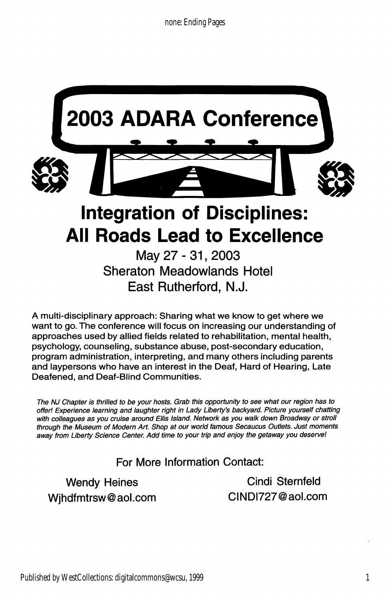

East Rutherford, N.J.

A multi-disciplinary approach: Sharing what we know to get where we want to go. The conference will focus on increasing our understanding of approaches used by allied fields related to rehabilitation, mental health, psychology, counseling, substance abuse, post-secondary education, program administration, interpreting, and many others including parents and laypersons who have an interest in the Deaf, Hard of Hearing, Late Deafened, and Deaf-Blind Communities.

The NJ Chapter is thrilled to be your hosts. Grab this opportunity to see what our region has to offer! Experience learning and laughter right in Lady Liberty's backyard. Picture yourself chatting with colleagues as you cruise around Ellis Island. Network as you walk down Broadway or stroll through the Museum of Modern Art. Shop at our world famous Secaucus Outlets. Just moments away from Liberty Science Center. Add time to your trip and enjoy the getaway you deserve!

For More Information Contact:

Wjhdfmtrsw@aol.com CINDI727@aol.com

Wendy Heines Cindi Sternfeld